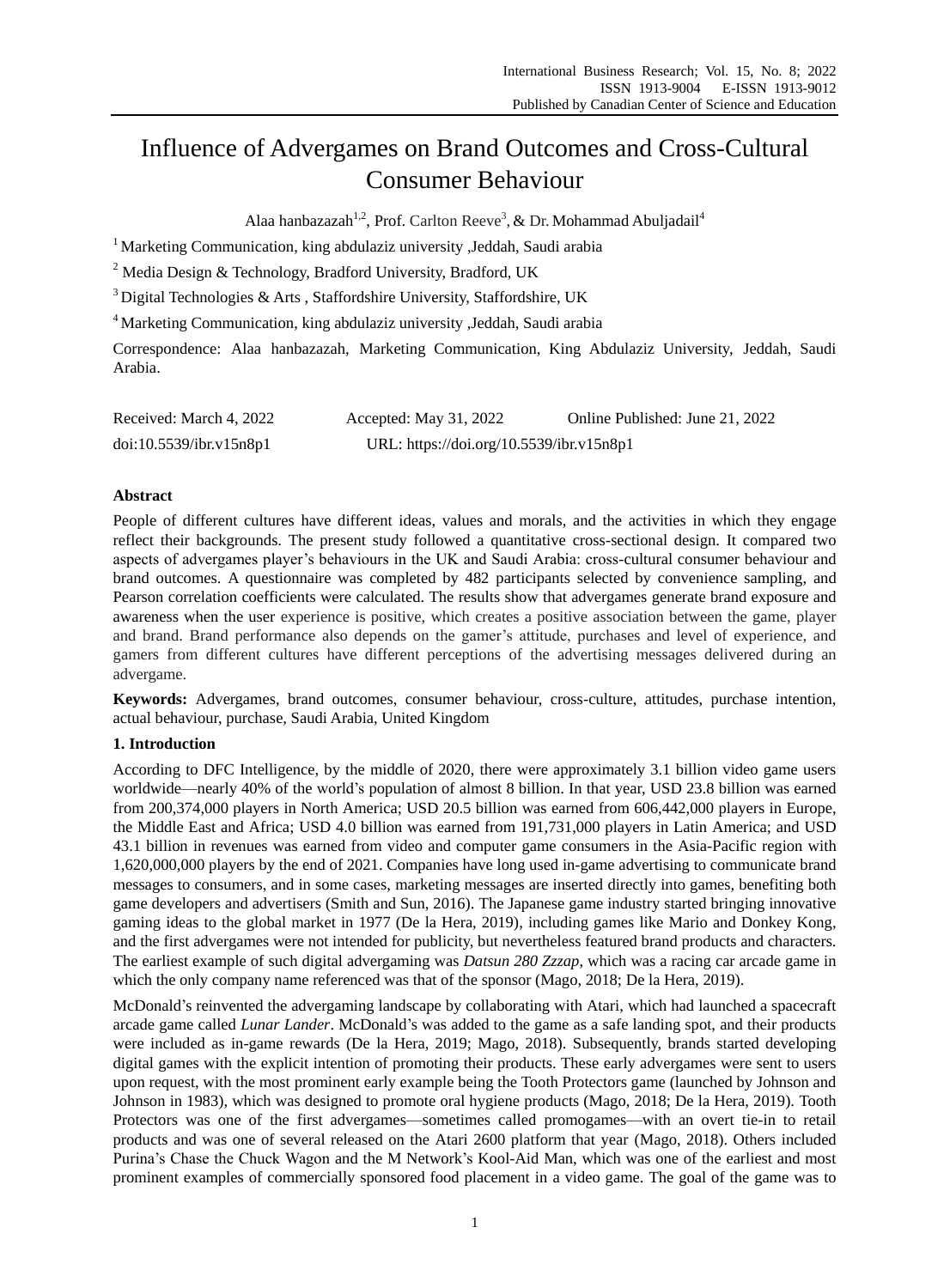# Influence of Advergames on Brand Outcomes and Cross-Cultural Consumer Behaviour

Alaa hanbazazah<sup>1,2</sup>, Prof. Carlton Reeve<sup>3</sup>, & Dr. Mohammad Abuljadail<sup>4</sup>

<sup>1</sup> Marketing Communication, king abdulaziz university , Jeddah, Saudi arabia

<sup>2</sup> Media Design & Technology, Bradford University, Bradford, UK

<sup>3</sup>Digital Technologies & Arts , Staffordshire University, Staffordshire, UK

<sup>4</sup> Marketing Communication, king abdulaziz university , Jeddah, Saudi arabia

Correspondence: Alaa hanbazazah, Marketing Communication, King Abdulaziz University, Jeddah, Saudi Arabia.

| Received: March 4, 2022 | Accepted: May 31, 2022                   | Online Published: June 21, 2022 |
|-------------------------|------------------------------------------|---------------------------------|
| doi:10.5539/ibr.v15n8p1 | URL: https://doi.org/10.5539/ibr.v15n8p1 |                                 |

# **Abstract**

People of different cultures have different ideas, values and morals, and the activities in which they engage reflect their backgrounds. The present study followed a quantitative cross-sectional design. It compared two aspects of advergames player's behaviours in the UK and Saudi Arabia: cross-cultural consumer behaviour and brand outcomes. A questionnaire was completed by 482 participants selected by convenience sampling, and Pearson correlation coefficients were calculated. The results show that advergames generate brand exposure and awareness when the user experience is positive, which creates a positive association between the game, player and brand. Brand performance also depends on the gamer's attitude, purchases and level of experience, and gamers from different cultures have different perceptions of the advertising messages delivered during an advergame.

**Keywords:** Advergames, brand outcomes, consumer behaviour, cross-culture, attitudes, purchase intention, actual behaviour, purchase, Saudi Arabia, United Kingdom

# **1. Introduction**

According to DFC Intelligence, by the middle of 2020, there were approximately 3.1 billion video game users worldwide—nearly 40% of the world's population of almost 8 billion. In that year, USD 23.8 billion was earned from 200,374,000 players in North America; USD 20.5 billion was earned from 606,442,000 players in Europe, the Middle East and Africa; USD 4.0 billion was earned from 191,731,000 players in Latin America; and USD 43.1 billion in revenues was earned from video and computer game consumers in the Asia-Pacific region with 1,620,000,000 players by the end of 2021. Companies have long used in-game advertising to communicate brand messages to consumers, and in some cases, marketing messages are inserted directly into games, benefiting both game developers and advertisers (Smith and Sun, 2016). The Japanese game industry started bringing innovative gaming ideas to the global market in 1977 (De la Hera, 2019), including games like Mario and Donkey Kong, and the first advergames were not intended for publicity, but nevertheless featured brand products and characters. The earliest example of such digital advergaming was *Datsun 280 Zzzap*, which was a racing car arcade game in which the only company name referenced was that of the sponsor (Mago, 2018; De la Hera, 2019).

McDonald's reinvented the advergaming landscape by collaborating with Atari, which had launched a spacecraft arcade game called *Lunar Lander*. McDonald's was added to the game as a safe landing spot, and their products were included as in-game rewards (De la Hera, 2019; Mago, 2018). Subsequently, brands started developing digital games with the explicit intention of promoting their products. These early advergames were sent to users upon request, with the most prominent early example being the Tooth Protectors game (launched by Johnson and Johnson in 1983), which was designed to promote oral hygiene products (Mago, 2018; De la Hera, 2019). Tooth Protectors was one of the first advergames—sometimes called promogames—with an overt tie-in to retail products and was one of several released on the Atari 2600 platform that year (Mago, 2018). Others included Purina's Chase the Chuck Wagon and the M Network's Kool-Aid Man, which was one of the earliest and most prominent examples of commercially sponsored food placement in a video game. The goal of the game was to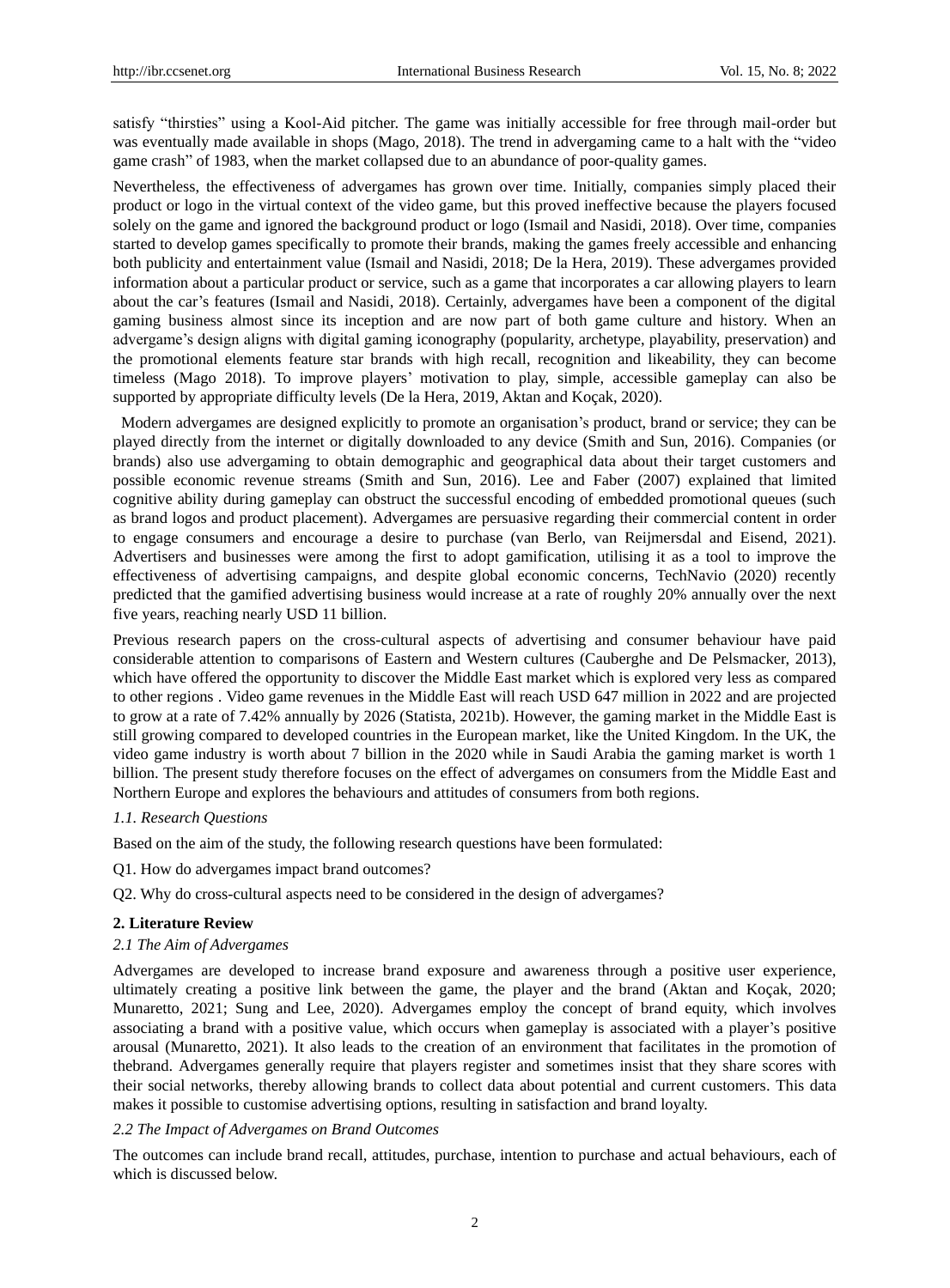satisfy "thirsties" using a Kool-Aid pitcher. The game was initially accessible for free through mail-order but was eventually made available in shops (Mago, 2018). The trend in advergaming came to a halt with the "video game crash" of 1983, when the market collapsed due to an abundance of poor-quality games.

Nevertheless, the effectiveness of advergames has grown over time. Initially, companies simply placed their product or logo in the virtual context of the video game, but this proved ineffective because the players focused solely on the game and ignored the background product or logo (Ismail and Nasidi, 2018). Over time, companies started to develop games specifically to promote their brands, making the games freely accessible and enhancing both publicity and entertainment value (Ismail and Nasidi, 2018; De la Hera, 2019). These advergames provided information about a particular product or service, such as a game that incorporates a car allowing players to learn about the car's features (Ismail and Nasidi, 2018). Certainly, advergames have been a component of the digital gaming business almost since its inception and are now part of both game culture and history. When an advergame's design aligns with digital gaming iconography (popularity, archetype, playability, preservation) and the promotional elements feature star brands with high recall, recognition and likeability, they can become timeless (Mago 2018). To improve players' motivation to play, simple, accessible gameplay can also be supported by appropriate difficulty levels (De la Hera, 2019, Aktan and Koçak, 2020).

Modern advergames are designed explicitly to promote an organisation's product, brand or service; they can be played directly from the internet or digitally downloaded to any device (Smith and Sun, 2016). Companies (or brands) also use advergaming to obtain demographic and geographical data about their target customers and possible economic revenue streams (Smith and Sun, 2016). Lee and Faber (2007) explained that limited cognitive ability during gameplay can obstruct the successful encoding of embedded promotional queues (such as brand logos and product placement). Advergames are persuasive regarding their commercial content in order to engage consumers and encourage a desire to purchase (van Berlo, van Reijmersdal and Eisend, 2021). Advertisers and businesses were among the first to adopt gamification, utilising it as a tool to improve the effectiveness of advertising campaigns, and despite global economic concerns, TechNavio (2020) recently predicted that the gamified advertising business would increase at a rate of roughly 20% annually over the next five years, reaching nearly USD 11 billion.

Previous research papers on the cross-cultural aspects of advertising and consumer behaviour have paid considerable attention to comparisons of Eastern and Western cultures (Cauberghe and De Pelsmacker, 2013), which have offered the opportunity to discover the Middle East market which is explored very less as compared to other regions . Video game revenues in the Middle East will reach USD 647 million in 2022 and are projected to grow at a rate of 7.42% annually by 2026 (Statista, 2021b). However, the gaming market in the Middle East is still growing compared to developed countries in the European market, like the United Kingdom. In the UK, the video game industry is worth about 7 billion in the 2020 while in Saudi Arabia the gaming market is worth 1 billion. The present study therefore focuses on the effect of advergames on consumers from the Middle East and Northern Europe and explores the behaviours and attitudes of consumers from both regions.

# *1.1. Research Questions*

Based on the aim of the study, the following research questions have been formulated:

Q1. How do advergames impact brand outcomes?

Q2. Why do cross-cultural aspects need to be considered in the design of advergames?

#### **2. Literature Review**

#### *2.1 The Aim of Advergames*

Advergames are developed to increase brand exposure and awareness through a positive user experience, ultimately creating a positive link between the game, the player and the brand (Aktan and Koçak, 2020; Munaretto, 2021; Sung and Lee, 2020). Advergames employ the concept of brand equity, which involves associating a brand with a positive value, which occurs when gameplay is associated with a player's positive arousal (Munaretto, 2021). It also leads to the creation of an environment that facilitates in the promotion of thebrand. Advergames generally require that players register and sometimes insist that they share scores with their social networks, thereby allowing brands to collect data about potential and current customers. This data makes it possible to customise advertising options, resulting in satisfaction and brand loyalty.

# *2.2 The Impact of Advergames on Brand Outcomes*

The outcomes can include brand recall, attitudes, purchase, intention to purchase and actual behaviours, each of which is discussed below.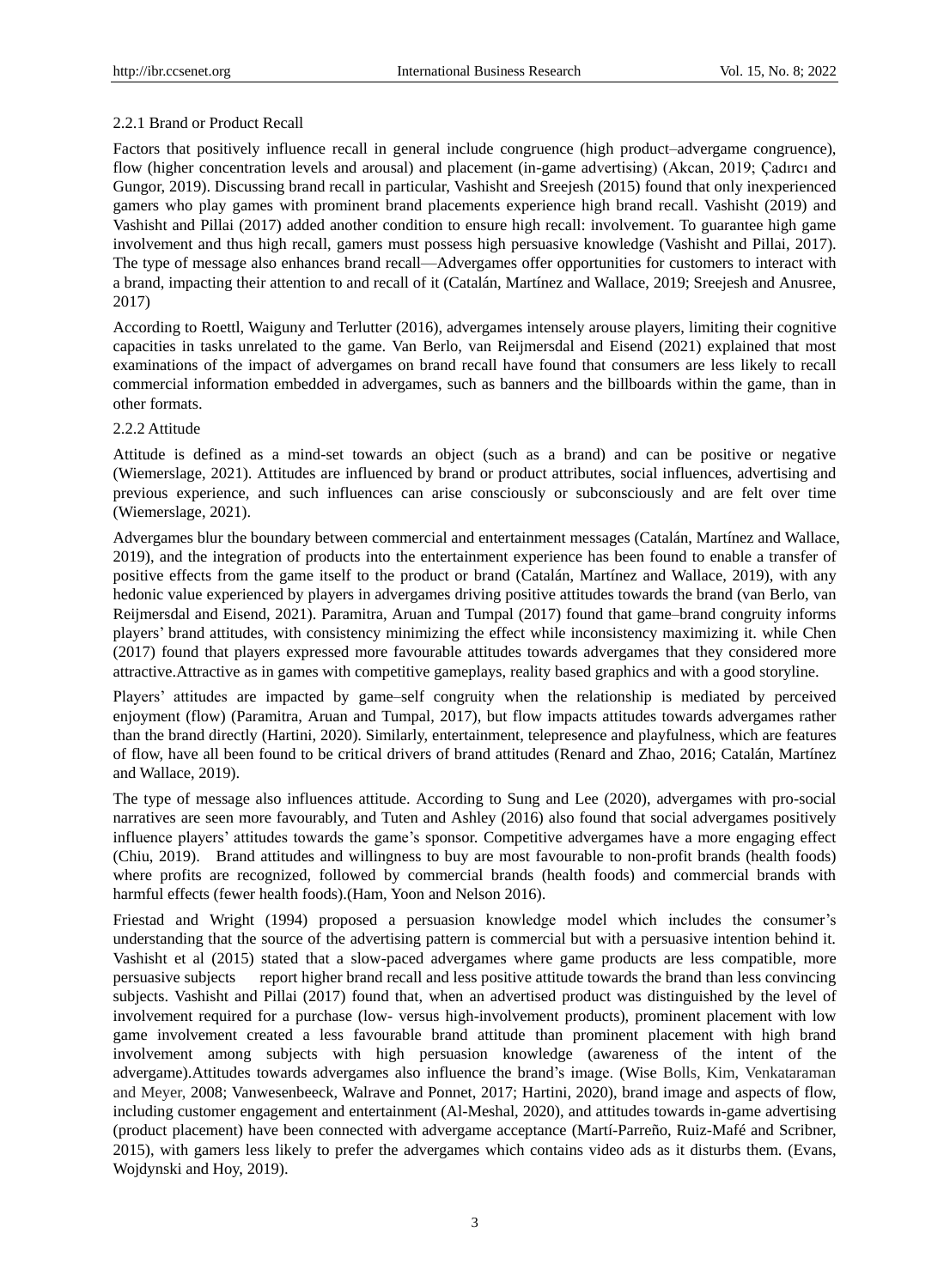# 2.2.1 Brand or Product Recall

Factors that positively influence recall in general include congruence (high product–advergame congruence), flow (higher concentration levels and arousal) and placement (in-game advertising) (Akcan, 2019; Çadırcı and Gungor, 2019). Discussing brand recall in particular, Vashisht and Sreejesh (2015) found that only inexperienced gamers who play games with prominent brand placements experience high brand recall. Vashisht (2019) and Vashisht and Pillai (2017) added another condition to ensure high recall: involvement. To guarantee high game involvement and thus high recall, gamers must possess high persuasive knowledge (Vashisht and Pillai, 2017). The type of message also enhances brand recall—Advergames offer opportunities for customers to interact with a brand, impacting their attention to and recall of it (Catalán, Martínez and Wallace, 2019; Sreejesh and Anusree, 2017)

According to Roettl, Waiguny and Terlutter (2016), advergames intensely arouse players, limiting their cognitive capacities in tasks unrelated to the game. Van Berlo, van Reijmersdal and Eisend (2021) explained that most examinations of the impact of advergames on brand recall have found that consumers are less likely to recall commercial information embedded in advergames, such as banners and the billboards within the game, than in other formats.

# 2.2.2 Attitude

Attitude is defined as a mind-set towards an object (such as a brand) and can be positive or negative (Wiemerslage, 2021). Attitudes are influenced by brand or product attributes, social influences, advertising and previous experience, and such influences can arise consciously or subconsciously and are felt over time (Wiemerslage, 2021).

Advergames blur the boundary between commercial and entertainment messages (Catal án, Mart nez and Wallace, 2019), and the integration of products into the entertainment experience has been found to enable a transfer of positive effects from the game itself to the product or brand (Catalán, Martínez and Wallace, 2019), with any hedonic value experienced by players in advergames driving positive attitudes towards the brand (van Berlo, van Reijmersdal and Eisend, 2021). Paramitra, Aruan and Tumpal (2017) found that game–brand congruity informs players' brand attitudes, with consistency minimizing the effect while inconsistency maximizing it. while Chen (2017) found that players expressed more favourable attitudes towards advergames that they considered more attractive.Attractive as in games with competitive gameplays, reality based graphics and with a good storyline.

Players' attitudes are impacted by game–self congruity when the relationship is mediated by perceived enjoyment (flow) (Paramitra, Aruan and Tumpal, 2017), but flow impacts attitudes towards advergames rather than the brand directly (Hartini, 2020). Similarly, entertainment, telepresence and playfulness, which are features of flow, have all been found to be critical drivers of brand attitudes (Renard and Zhao, 2016; Catalán, Martínez and Wallace, 2019).

The type of message also influences attitude. According to Sung and Lee (2020), advergames with pro-social narratives are seen more favourably, and Tuten and Ashley (2016) also found that social advergames positively influence players' attitudes towards the game's sponsor. Competitive advergames have a more engaging effect (Chiu, 2019). Brand attitudes and willingness to buy are most favourable to non-profit brands (health foods) where profits are recognized, followed by commercial brands (health foods) and commercial brands with harmful effects (fewer health foods).(Ham, Yoon and Nelson 2016).

Friestad and Wright (1994) proposed a persuasion knowledge model which includes the consumer's understanding that the source of the advertising pattern is commercial but with a persuasive intention behind it. Vashisht et al (2015) stated that a slow-paced advergames where game products are less compatible, more persuasive subjects report higher brand recall and less positive attitude towards the brand than less convincing subjects. Vashisht and Pillai (2017) found that, when an advertised product was distinguished by the level of involvement required for a purchase (low- versus high-involvement products), prominent placement with low game involvement created a less favourable brand attitude than prominent placement with high brand involvement among subjects with high persuasion knowledge (awareness of the intent of the advergame).Attitudes towards advergames also influence the brand's image. (Wise Bolls, Kim, Venkataraman and Meyer, 2008; Vanwesenbeeck, Walrave and Ponnet, 2017; Hartini, 2020), brand image and aspects of flow, including customer engagement and entertainment (Al-Meshal, 2020), and attitudes towards in-game advertising (product placement) have been connected with advergame acceptance (Martí-Parreño, Ruiz-Mafé and Scribner, 2015), with gamers less likely to prefer the advergames which contains video ads as it disturbs them. (Evans, Wojdynski and Hoy, 2019).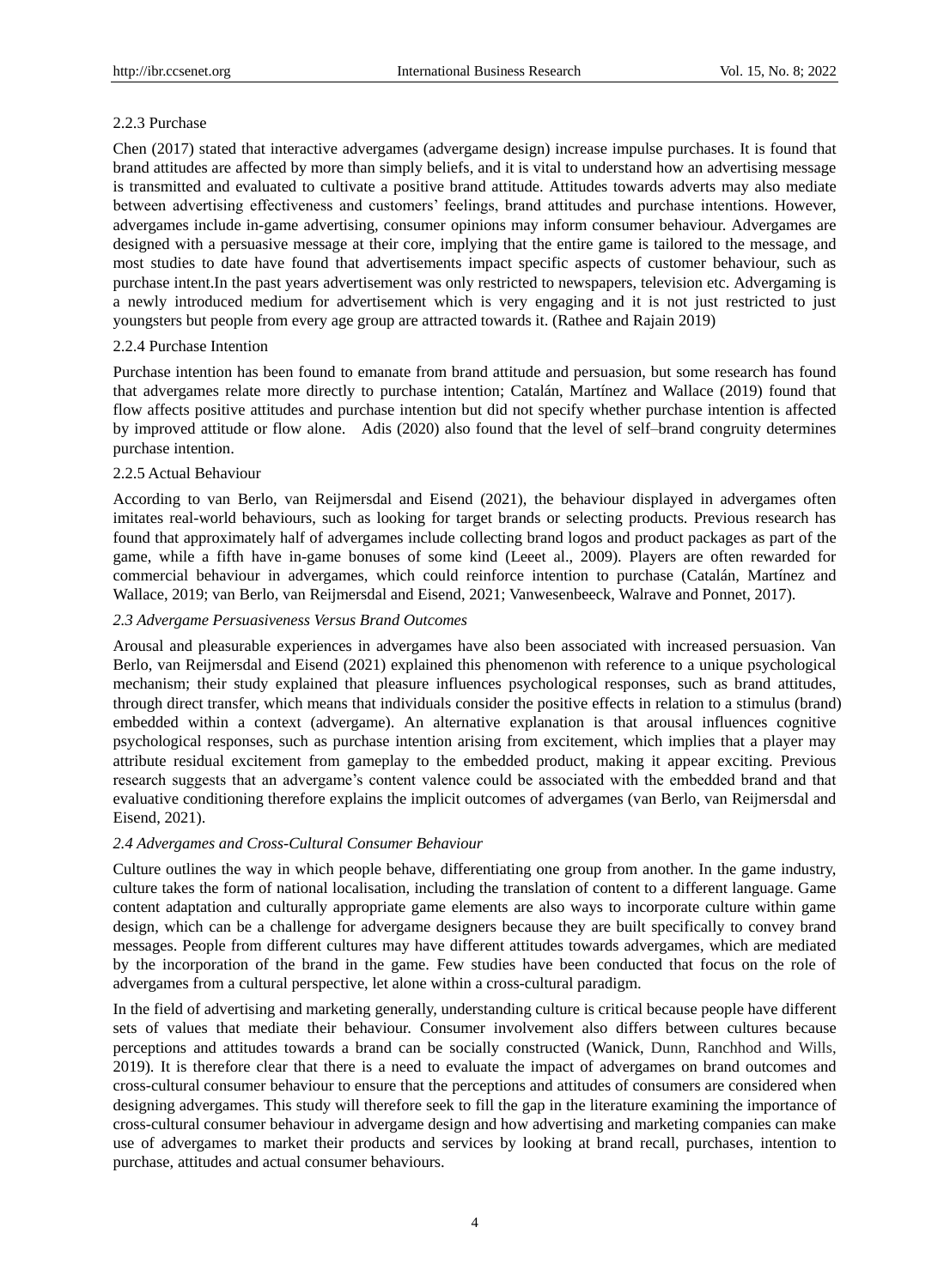# 2.2.3 Purchase

Chen (2017) stated that interactive advergames (advergame design) increase impulse purchases. It is found that brand attitudes are affected by more than simply beliefs, and it is vital to understand how an advertising message is transmitted and evaluated to cultivate a positive brand attitude. Attitudes towards adverts may also mediate between advertising effectiveness and customers' feelings, brand attitudes and purchase intentions. However, advergames include in-game advertising, consumer opinions may inform consumer behaviour. Advergames are designed with a persuasive message at their core, implying that the entire game is tailored to the message, and most studies to date have found that advertisements impact specific aspects of customer behaviour, such as purchase intent.In the past years advertisement was only restricted to newspapers, television etc. Advergaming is a newly introduced medium for advertisement which is very engaging and it is not just restricted to just youngsters but people from every age group are attracted towards it. (Rathee and Rajain 2019)

# 2.2.4 Purchase Intention

Purchase intention has been found to emanate from brand attitude and persuasion, but some research has found that advergames relate more directly to purchase intention; Catal án, Mart ínez and Wallace (2019) found that flow affects positive attitudes and purchase intention but did not specify whether purchase intention is affected by improved attitude or flow alone. Adis (2020) also found that the level of self–brand congruity determines purchase intention.

# 2.2.5 Actual Behaviour

According to van Berlo, van Reijmersdal and Eisend (2021), the behaviour displayed in advergames often imitates real-world behaviours, such as looking for target brands or selecting products. Previous research has found that approximately half of advergames include collecting brand logos and product packages as part of the game, while a fifth have in-game bonuses of some kind (Leeet al., 2009). Players are often rewarded for commercial behaviour in advergames, which could reinforce intention to purchase (Catalán, Martínez and Wallace, 2019; van Berlo, van Reijmersdal and Eisend, 2021; Vanwesenbeeck, Walrave and Ponnet, 2017).

# *2.3 Advergame Persuasiveness Versus Brand Outcomes*

Arousal and pleasurable experiences in advergames have also been associated with increased persuasion. Van Berlo, van Reijmersdal and Eisend (2021) explained this phenomenon with reference to a unique psychological mechanism; their study explained that pleasure influences psychological responses, such as brand attitudes, through direct transfer, which means that individuals consider the positive effects in relation to a stimulus (brand) embedded within a context (advergame). An alternative explanation is that arousal influences cognitive psychological responses, such as purchase intention arising from excitement, which implies that a player may attribute residual excitement from gameplay to the embedded product, making it appear exciting. Previous research suggests that an advergame's content valence could be associated with the embedded brand and that evaluative conditioning therefore explains the implicit outcomes of advergames (van Berlo, van Reijmersdal and Eisend, 2021).

# *2.4 Advergames and Cross-Cultural Consumer Behaviour*

Culture outlines the way in which people behave, differentiating one group from another. In the game industry, culture takes the form of national localisation, including the translation of content to a different language. Game content adaptation and culturally appropriate game elements are also ways to incorporate culture within game design, which can be a challenge for advergame designers because they are built specifically to convey brand messages. People from different cultures may have different attitudes towards advergames, which are mediated by the incorporation of the brand in the game. Few studies have been conducted that focus on the role of advergames from a cultural perspective, let alone within a cross-cultural paradigm.

In the field of advertising and marketing generally, understanding culture is critical because people have different sets of values that mediate their behaviour. Consumer involvement also differs between cultures because perceptions and attitudes towards a brand can be socially constructed (Wanick, Dunn, Ranchhod and Wills, 2019). It is therefore clear that there is a need to evaluate the impact of advergames on brand outcomes and cross-cultural consumer behaviour to ensure that the perceptions and attitudes of consumers are considered when designing advergames. This study will therefore seek to fill the gap in the literature examining the importance of cross-cultural consumer behaviour in advergame design and how advertising and marketing companies can make use of advergames to market their products and services by looking at brand recall, purchases, intention to purchase, attitudes and actual consumer behaviours.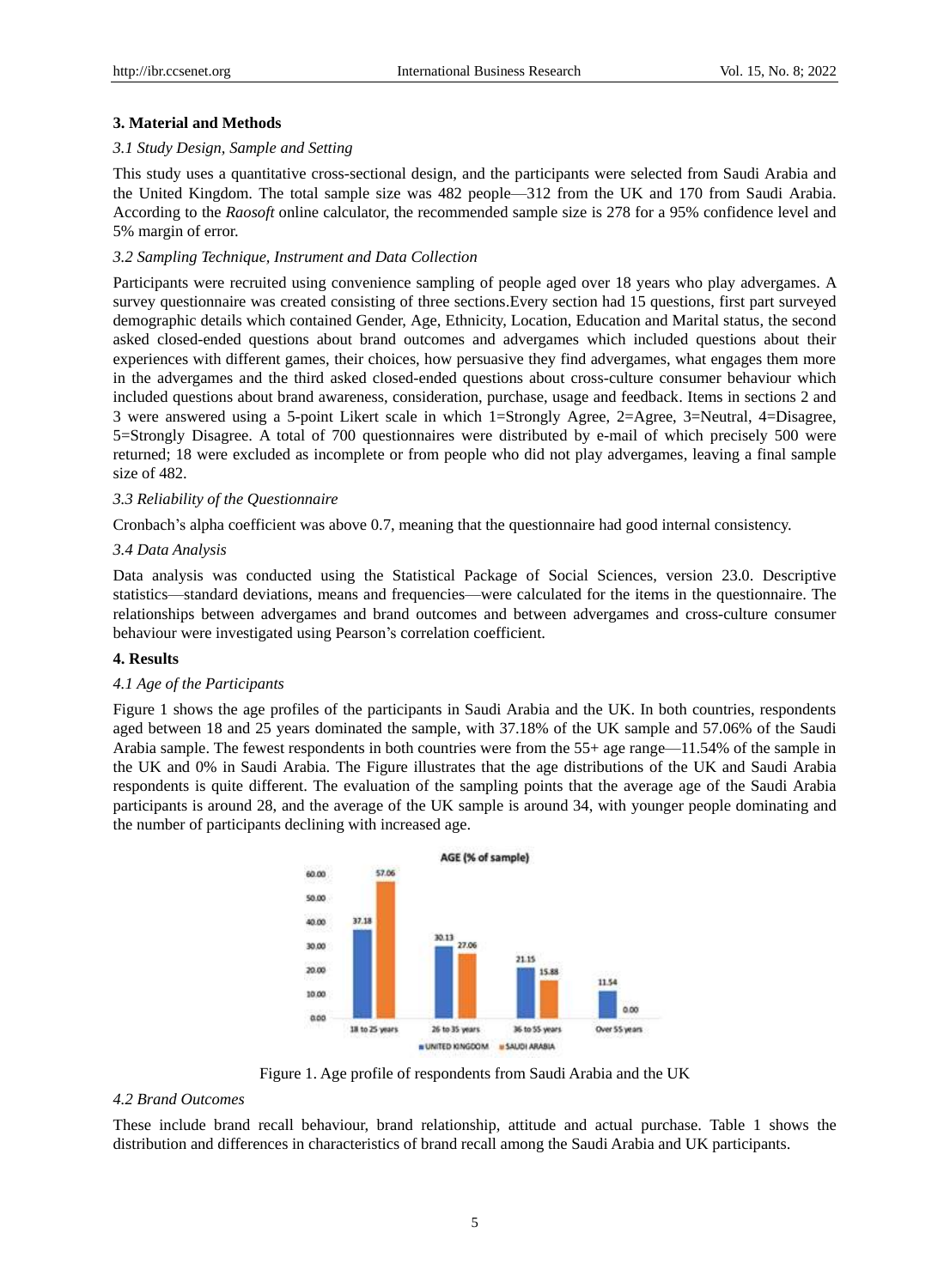# **3. Material and Methods**

#### *3.1 Study Design, Sample and Setting*

This study uses a quantitative cross-sectional design, and the participants were selected from Saudi Arabia and the United Kingdom. The total sample size was 482 people—312 from the UK and 170 from Saudi Arabia. According to the *Raosoft* online calculator, the recommended sample size is 278 for a 95% confidence level and 5% margin of error.

#### *3.2 Sampling Technique, Instrument and Data Collection*

Participants were recruited using convenience sampling of people aged over 18 years who play advergames. A survey questionnaire was created consisting of three sections.Every section had 15 questions, first part surveyed demographic details which contained Gender, Age, Ethnicity, Location, Education and Marital status, the second asked closed-ended questions about brand outcomes and advergames which included questions about their experiences with different games, their choices, how persuasive they find advergames, what engages them more in the advergames and the third asked closed-ended questions about cross-culture consumer behaviour which included questions about brand awareness, consideration, purchase, usage and feedback. Items in sections 2 and 3 were answered using a 5-point Likert scale in which 1=Strongly Agree, 2=Agree, 3=Neutral, 4=Disagree, 5=Strongly Disagree. A total of 700 questionnaires were distributed by e-mail of which precisely 500 were returned; 18 were excluded as incomplete or from people who did not play advergames, leaving a final sample size of 482.

# *3.3 Reliability of the Questionnaire*

Cronbach's alpha coefficient was above 0.7, meaning that the questionnaire had good internal consistency.

# *3.4 Data Analysis*

Data analysis was conducted using the Statistical Package of Social Sciences, version 23.0. Descriptive statistics—standard deviations, means and frequencies—were calculated for the items in the questionnaire. The relationships between advergames and brand outcomes and between advergames and cross-culture consumer behaviour were investigated using Pearson's correlation coefficient.

## **4. Results**

## *4.1 Age of the Participants*

Figure 1 shows the age profiles of the participants in Saudi Arabia and the UK. In both countries, respondents aged between 18 and 25 years dominated the sample, with 37.18% of the UK sample and 57.06% of the Saudi Arabia sample. The fewest respondents in both countries were from the 55+ age range—11.54% of the sample in the UK and 0% in Saudi Arabia. The Figure illustrates that the age distributions of the UK and Saudi Arabia respondents is quite different. The evaluation of the sampling points that the average age of the Saudi Arabia participants is around 28, and the average of the UK sample is around 34, with younger people dominating and the number of participants declining with increased age.



Figure 1. Age profile of respondents from Saudi Arabia and the UK

# *4.2 Brand Outcomes*

These include brand recall behaviour, brand relationship, attitude and actual purchase. Table 1 shows the distribution and differences in characteristics of brand recall among the Saudi Arabia and UK participants.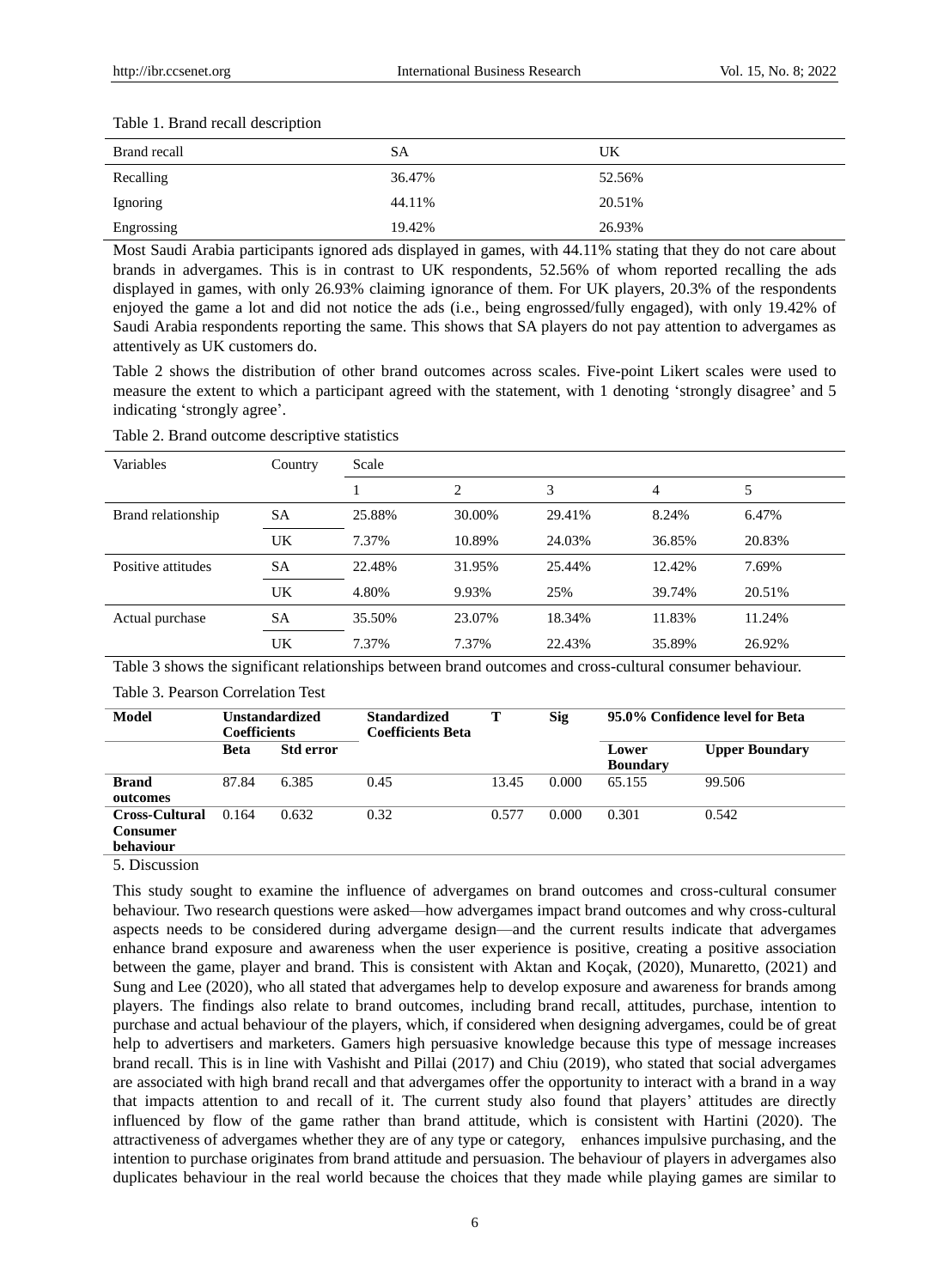| Brand recall | SА     | UK     |
|--------------|--------|--------|
| Recalling    | 36.47% | 52.56% |
| Ignoring     | 44.11% | 20.51% |
| Engrossing   | 19.42% | 26.93% |

Most Saudi Arabia participants ignored ads displayed in games, with 44.11% stating that they do not care about brands in advergames. This is in contrast to UK respondents, 52.56% of whom reported recalling the ads displayed in games, with only 26.93% claiming ignorance of them. For UK players, 20.3% of the respondents enjoyed the game a lot and did not notice the ads (i.e., being engrossed/fully engaged), with only 19.42% of Saudi Arabia respondents reporting the same. This shows that SA players do not pay attention to advergames as attentively as UK customers do.

Table 2 shows the distribution of other brand outcomes across scales. Five-point Likert scales were used to measure the extent to which a participant agreed with the statement, with 1 denoting 'strongly disagree' and 5 indicating 'strongly agree'.

| Variables          | Country   | Scale  |                |        |        |        |
|--------------------|-----------|--------|----------------|--------|--------|--------|
|                    |           |        | $\overline{c}$ | 3      | 4      | 5      |
| Brand relationship | SА        | 25.88% | 30.00%         | 29.41% | 8.24%  | 6.47%  |
|                    | UK        | 7.37%  | 10.89%         | 24.03% | 36.85% | 20.83% |
| Positive attitudes | <b>SA</b> | 22.48% | 31.95%         | 25.44% | 12.42% | 7.69%  |
|                    | UK        | 4.80%  | 9.93%          | 25%    | 39.74% | 20.51% |
| Actual purchase    | SА        | 35.50% | 23.07%         | 18.34% | 11.83% | 11.24% |
|                    | UK        | 7.37%  | 7.37%          | 22.43% | 35.89% | 26.92% |

Table 2. Brand outcome descriptive statistics

Table 3 shows the significant relationships between brand outcomes and cross-cultural consumer behaviour.

Table 3. Pearson Correlation Test

| Model                                                 | <b>Unstandardized</b><br><b>Coefficients</b> |                  | <b>Standardized</b><br><b>Coefficients Beta</b> |       | <b>Sig</b> | 95.0% Confidence level for Beta |                       |
|-------------------------------------------------------|----------------------------------------------|------------------|-------------------------------------------------|-------|------------|---------------------------------|-----------------------|
|                                                       | <b>Beta</b>                                  | <b>Std error</b> |                                                 |       |            | Lower<br><b>Boundary</b>        | <b>Upper Boundary</b> |
| <b>Brand</b><br>outcomes                              | 87.84                                        | 6.385            | 0.45                                            | 13.45 | 0.000      | 65.155                          | 99.506                |
| <b>Cross-Cultural</b><br><b>Consumer</b><br>behaviour | 0.164                                        | 0.632            | 0.32                                            | 0.577 | 0.000      | 0.301                           | 0.542                 |

5. Discussion

This study sought to examine the influence of advergames on brand outcomes and cross-cultural consumer behaviour. Two research questions were asked—how advergames impact brand outcomes and why cross-cultural aspects needs to be considered during advergame design—and the current results indicate that advergames enhance brand exposure and awareness when the user experience is positive, creating a positive association between the game, player and brand. This is consistent with Aktan and Koçak, (2020), Munaretto, (2021) and Sung and Lee (2020), who all stated that advergames help to develop exposure and awareness for brands among players. The findings also relate to brand outcomes, including brand recall, attitudes, purchase, intention to purchase and actual behaviour of the players, which, if considered when designing advergames, could be of great help to advertisers and marketers. Gamers high persuasive knowledge because this type of message increases brand recall. This is in line with Vashisht and Pillai (2017) and Chiu (2019), who stated that social advergames are associated with high brand recall and that advergames offer the opportunity to interact with a brand in a way that impacts attention to and recall of it. The current study also found that players' attitudes are directly influenced by flow of the game rather than brand attitude, which is consistent with Hartini (2020). The attractiveness of advergames whether they are of any type or category, enhances impulsive purchasing, and the intention to purchase originates from brand attitude and persuasion. The behaviour of players in advergames also duplicates behaviour in the real world because the choices that they made while playing games are similar to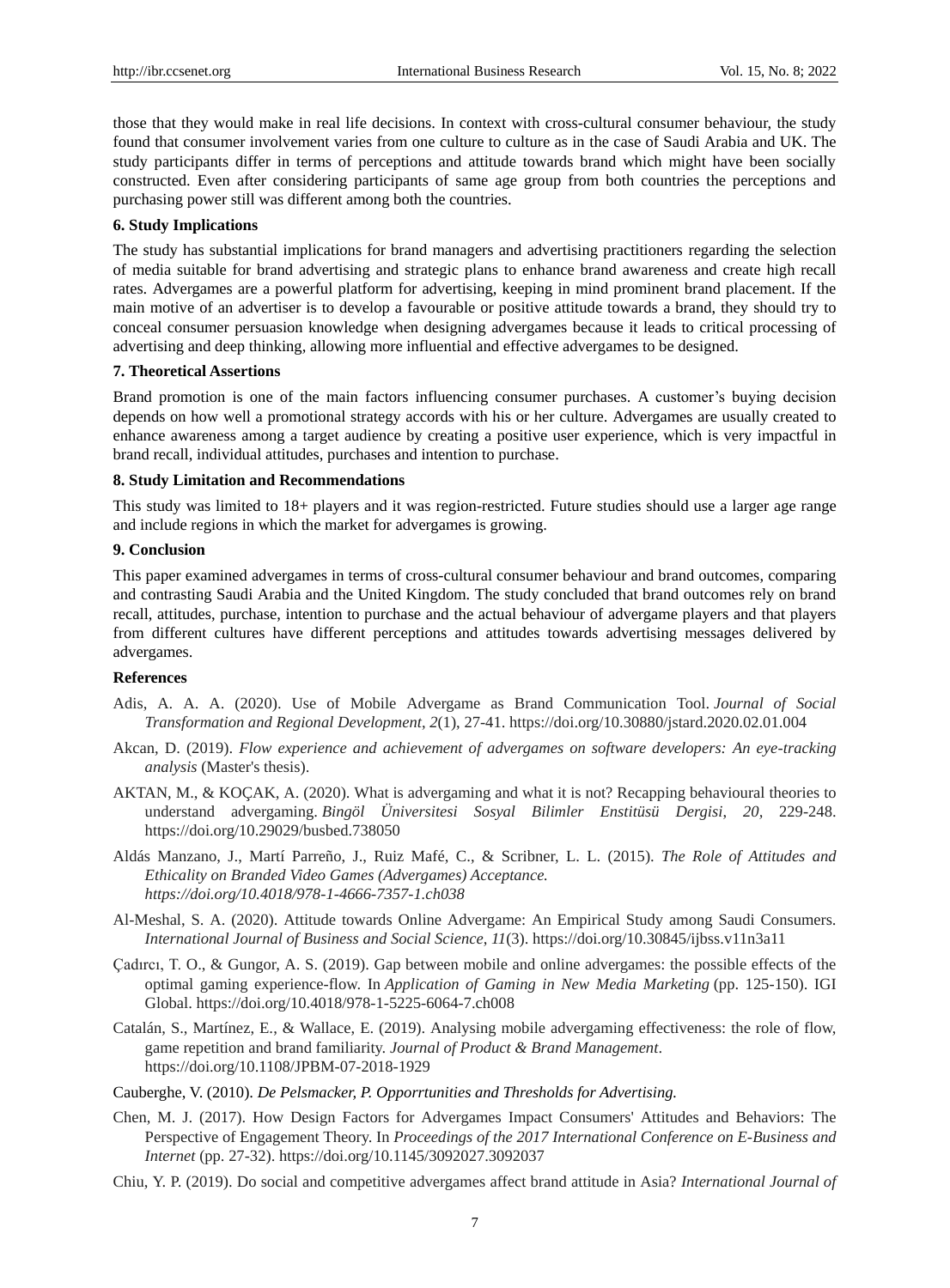those that they would make in real life decisions. In context with cross-cultural consumer behaviour, the study found that consumer involvement varies from one culture to culture as in the case of Saudi Arabia and UK. The study participants differ in terms of perceptions and attitude towards brand which might have been socially constructed. Even after considering participants of same age group from both countries the perceptions and purchasing power still was different among both the countries.

# **6. Study Implications**

The study has substantial implications for brand managers and advertising practitioners regarding the selection of media suitable for brand advertising and strategic plans to enhance brand awareness and create high recall rates. Advergames are a powerful platform for advertising, keeping in mind prominent brand placement. If the main motive of an advertiser is to develop a favourable or positive attitude towards a brand, they should try to conceal consumer persuasion knowledge when designing advergames because it leads to critical processing of advertising and deep thinking, allowing more influential and effective advergames to be designed.

# **7. Theoretical Assertions**

Brand promotion is one of the main factors influencing consumer purchases. A customer's buying decision depends on how well a promotional strategy accords with his or her culture. Advergames are usually created to enhance awareness among a target audience by creating a positive user experience, which is very impactful in brand recall, individual attitudes, purchases and intention to purchase.

# **8. Study Limitation and Recommendations**

This study was limited to 18+ players and it was region-restricted. Future studies should use a larger age range and include regions in which the market for advergames is growing.

# **9. Conclusion**

This paper examined advergames in terms of cross-cultural consumer behaviour and brand outcomes, comparing and contrasting Saudi Arabia and the United Kingdom. The study concluded that brand outcomes rely on brand recall, attitudes, purchase, intention to purchase and the actual behaviour of advergame players and that players from different cultures have different perceptions and attitudes towards advertising messages delivered by advergames.

# **References**

- Adis, A. A. A. (2020). Use of Mobile Advergame as Brand Communication Tool. *Journal of Social Transformation and Regional Development*, *2*(1), 27-41. https://doi.org/10.30880/jstard.2020.02.01.004
- Akcan, D. (2019). *Flow experience and achievement of advergames on software developers: An eye-tracking analysis* (Master's thesis).
- AKTAN, M., & KOÇAK, A. (2020). What is advergaming and what it is not? Recapping behavioural theories to understand advergaming. *Bingöl Üniversitesi Sosyal Bilimler Enstitüsü Dergisi*, *20,* 229-248. https://doi.org/10.29029/busbed.738050
- Aldás Manzano, J., Martí Parreño, J., Ruiz Mafé, C., & Scribner, L. L. (2015). *The Role of Attitudes and Ethicality on Branded Video Games (Advergames) Acceptance. https://doi.org/10.4018/978-1-4666-7357-1.ch038*
- Al-Meshal, S. A. (2020). Attitude towards Online Advergame: An Empirical Study among Saudi Consumers. *International Journal of Business and Social Science*, *11*(3). https://doi.org/10.30845/ijbss.v11n3a11
- Çadırcı, T. O., & Gungor, A. S. (2019). Gap between mobile and online advergames: the possible effects of the optimal gaming experience-flow. In *Application of Gaming in New Media Marketing* (pp. 125-150). IGI Global. https://doi.org/10.4018/978-1-5225-6064-7.ch008
- Catal án, S., Mart ínez, E., & Wallace, E. (2019). Analysing mobile advergaming effectiveness: the role of flow, game repetition and brand familiarity. *Journal of Product & Brand Management*. https://doi.org/10.1108/JPBM-07-2018-1929
- Cauberghe, V. (2010). *De Pelsmacker, P. Opporrtunities and Thresholds for Advertising.*
- Chen, M. J. (2017). How Design Factors for Advergames Impact Consumers' Attitudes and Behaviors: The Perspective of Engagement Theory. In *Proceedings of the 2017 International Conference on E-Business and Internet* (pp. 27-32). https://doi.org/10.1145/3092027.3092037
- Chiu, Y. P. (2019). Do social and competitive advergames affect brand attitude in Asia? *International Journal of*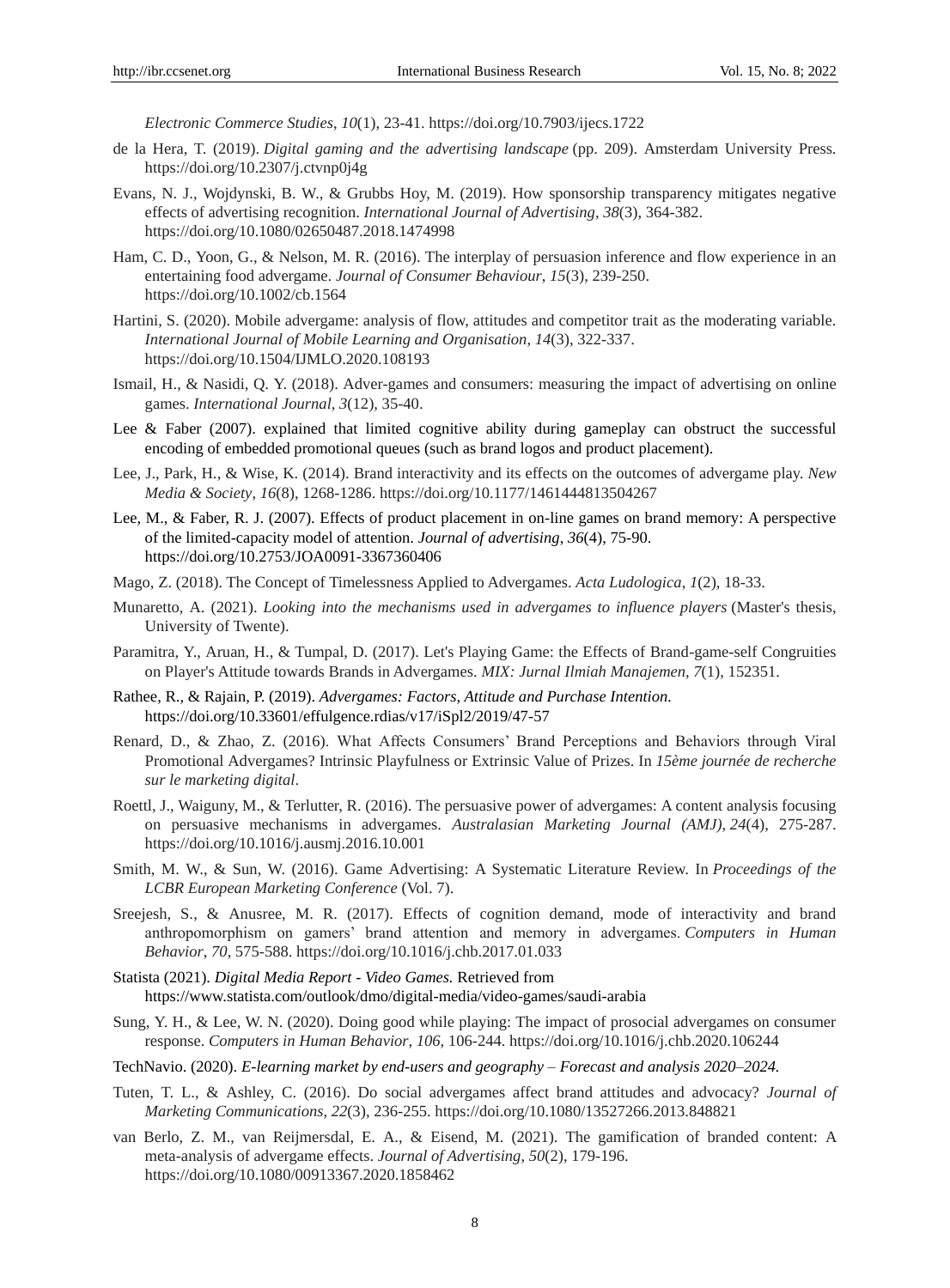*Electronic Commerce Studies*, *10*(1), 23-41. https://doi.org/10.7903/ijecs.1722

- de la Hera, T. (2019). *Digital gaming and the advertising landscape* (pp. 209). Amsterdam University Press. https://doi.org/10.2307/j.ctvnp0j4g
- Evans, N. J., Wojdynski, B. W., & Grubbs Hoy, M. (2019). How sponsorship transparency mitigates negative effects of advertising recognition. *International Journal of Advertising*, *38*(3), 364-382. https://doi.org/10.1080/02650487.2018.1474998
- Ham, C. D., Yoon, G., & Nelson, M. R. (2016). The interplay of persuasion inference and flow experience in an entertaining food advergame. *Journal of Consumer Behaviour*, *15*(3), 239-250. https://doi.org/10.1002/cb.1564
- Hartini, S. (2020). Mobile advergame: analysis of flow, attitudes and competitor trait as the moderating variable. *International Journal of Mobile Learning and Organisation*, *14*(3), 322-337. https://doi.org/10.1504/IJMLO.2020.108193
- Ismail, H., & Nasidi, Q. Y. (2018). Adver-games and consumers: measuring the impact of advertising on online games. *International Journal*, *3*(12), 35-40.
- Lee & Faber (2007). explained that limited cognitive ability during gameplay can obstruct the successful encoding of embedded promotional queues (such as brand logos and product placement).
- Lee, J., Park, H., & Wise, K. (2014). Brand interactivity and its effects on the outcomes of advergame play. *New Media & Society*, *16*(8), 1268-1286. https://doi.org/10.1177/1461444813504267
- Lee, M., & Faber, R. J. (2007). Effects of product placement in on-line games on brand memory: A perspective of the limited-capacity model of attention. *Journal of advertising*, *36*(4), 75-90. https://doi.org/10.2753/JOA0091-3367360406
- Mago, Z. (2018). The Concept of Timelessness Applied to Advergames. *Acta Ludologica*, *1*(2), 18-33.
- Munaretto, A. (2021). *Looking into the mechanisms used in advergames to influence players* (Master's thesis, University of Twente).
- Paramitra, Y., Aruan, H., & Tumpal, D. (2017). Let's Playing Game: the Effects of Brand-game-self Congruities on Player's Attitude towards Brands in Advergames. *MIX: Jurnal Ilmiah Manajemen*, *7*(1), 152351.
- Rathee, R., & Rajain, P. (2019). *Advergames: Factors, Attitude and Purchase Intention.* https://doi.org/10.33601/effulgence.rdias/v17/iSpl2/2019/47-57
- Renard, D., & Zhao, Z. (2016). What Affects Consumers' Brand Perceptions and Behaviors through Viral Promotional Advergames? Intrinsic Playfulness or Extrinsic Value of Prizes. In *15ème journée de recherche sur le marketing digital*.
- Roettl, J., Waiguny, M., & Terlutter, R. (2016). The persuasive power of advergames: A content analysis focusing on persuasive mechanisms in advergames. *Australasian Marketing Journal (AMJ)*, *24*(4), 275-287. https://doi.org/10.1016/j.ausmj.2016.10.001
- Smith, M. W., & Sun, W. (2016). Game Advertising: A Systematic Literature Review. In *Proceedings of the LCBR European Marketing Conference* (Vol. 7).
- Sreejesh, S., & Anusree, M. R. (2017). Effects of cognition demand, mode of interactivity and brand anthropomorphism on gamers' brand attention and memory in advergames. *Computers in Human Behavior*, *70*, 575-588. https://doi.org/10.1016/j.chb.2017.01.033
- Statista (2021). *Digital Media Report - Video Games.* Retrieved from https://www.statista.com/outlook/dmo/digital-media/video-games/saudi-arabia
- Sung, Y. H., & Lee, W. N. (2020). Doing good while playing: The impact of prosocial advergames on consumer response. *Computers in Human Behavior*, *106*, 106-244. https://doi.org/10.1016/j.chb.2020.106244
- TechNavio. (2020). *E-learning market by end-users and geography – Forecast and analysis 2020–2024.*
- Tuten, T. L., & Ashley, C. (2016). Do social advergames affect brand attitudes and advocacy? *Journal of Marketing Communications*, *22*(3), 236-255. https://doi.org/10.1080/13527266.2013.848821
- van Berlo, Z. M., van Reijmersdal, E. A., & Eisend, M. (2021). The gamification of branded content: A meta-analysis of advergame effects. *Journal of Advertising*, *50*(2), 179-196. https://doi.org/10.1080/00913367.2020.1858462